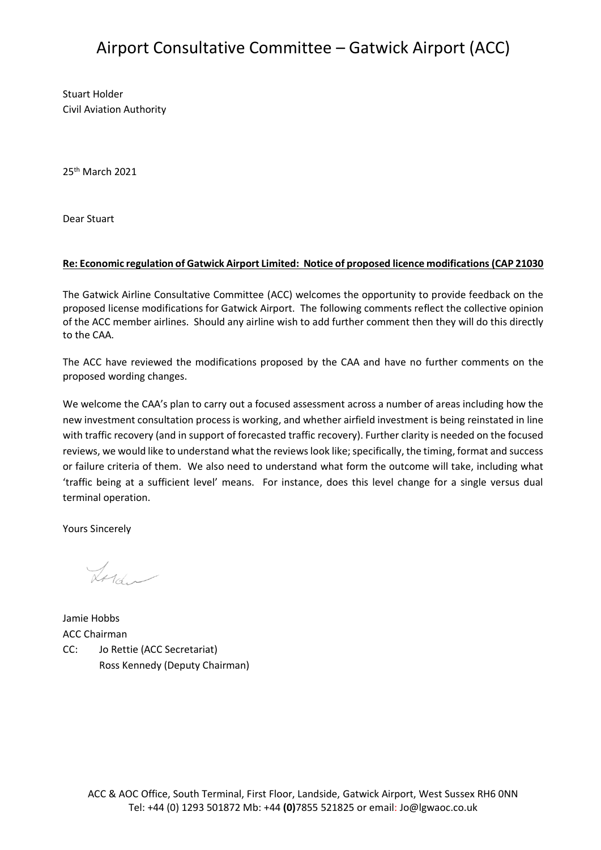## Airport Consultative Committee – Gatwick Airport (ACC)

Stuart Holder Civil Aviation Authority

25th March 2021

Dear Stuart

## **Re: Economic regulation of Gatwick Airport Limited: Notice of proposed licence modifications (CAP 21030**

The Gatwick Airline Consultative Committee (ACC) welcomes the opportunity to provide feedback on the proposed license modifications for Gatwick Airport. The following comments reflect the collective opinion of the ACC member airlines. Should any airline wish to add further comment then they will do this directly to the CAA.

The ACC have reviewed the modifications proposed by the CAA and have no further comments on the proposed wording changes.

We welcome the CAA's plan to carry out a focused assessment across a number of areas including how the new investment consultation process is working, and whether airfield investment is being reinstated in line with traffic recovery (and in support of forecasted traffic recovery). Further clarity is needed on the focused reviews, we would like to understand what the reviews look like; specifically, the timing, format and success or failure criteria of them. We also need to understand what form the outcome will take, including what 'traffic being at a sufficient level' means. For instance, does this level change for a single versus dual terminal operation.

Yours Sincerely

Lord ~

Jamie Hobbs ACC Chairman CC: Jo Rettie (ACC Secretariat) Ross Kennedy (Deputy Chairman)